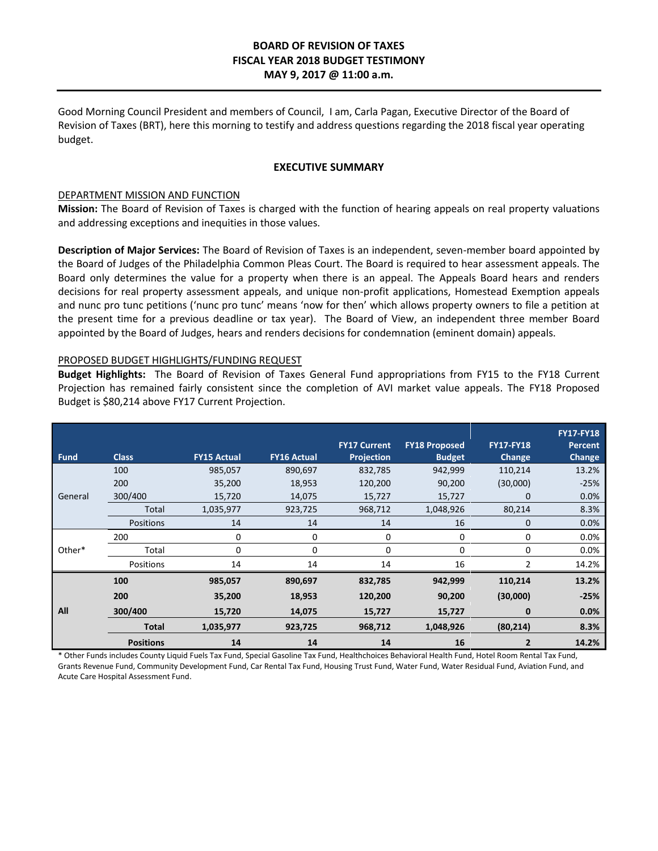# **BOARD OF REVISION OF TAXES FISCAL YEAR 2018 BUDGET TESTIMONY MAY 9, 2017 @ 11:00 a.m.**

Good Morning Council President and members of Council, I am, Carla Pagan, Executive Director of the Board of Revision of Taxes (BRT), here this morning to testify and address questions regarding the 2018 fiscal year operating budget.

#### **EXECUTIVE SUMMARY**

#### DEPARTMENT MISSION AND FUNCTION

**Mission:** The Board of Revision of Taxes is charged with the function of hearing appeals on real property valuations and addressing exceptions and inequities in those values.

**Description of Major Services:** The Board of Revision of Taxes is an independent, seven-member board appointed by the Board of Judges of the Philadelphia Common Pleas Court. The Board is required to hear assessment appeals. The Board only determines the value for a property when there is an appeal. The Appeals Board hears and renders decisions for real property assessment appeals, and unique non-profit applications, Homestead Exemption appeals and nunc pro tunc petitions ('nunc pro tunc' means 'now for then' which allows property owners to file a petition at the present time for a previous deadline or tax year). The Board of View, an independent three member Board appointed by the Board of Judges, hears and renders decisions for condemnation (eminent domain) appeals.

## PROPOSED BUDGET HIGHLIGHTS/FUNDING REQUEST

**Budget Highlights:** The Board of Revision of Taxes General Fund appropriations from FY15 to the FY18 Current Projection has remained fairly consistent since the completion of AVI market value appeals. The FY18 Proposed Budget is \$80,214 above FY17 Current Projection.

| <b>Fund</b> | <b>Class</b>     | <b>FY15 Actual</b> | <b>FY16 Actual</b> | <b>FY17 Current</b><br><b>Projection</b> | <b>FY18 Proposed</b><br><b>Budget</b> | <b>FY17-FY18</b><br><b>Change</b> | <b>FY17-FY18</b><br>Percent<br>Change |
|-------------|------------------|--------------------|--------------------|------------------------------------------|---------------------------------------|-----------------------------------|---------------------------------------|
| General     | 100              | 985,057            | 890,697            | 832,785                                  | 942,999                               | 110,214                           | 13.2%                                 |
|             | 200              | 35,200             | 18,953             | 120,200                                  | 90,200                                | (30,000)                          | $-25%$                                |
|             | 300/400          | 15,720             | 14,075             | 15,727                                   | 15,727                                | $\mathbf 0$                       | 0.0%                                  |
|             | Total            | 1,035,977          | 923,725            | 968,712                                  | 1,048,926                             | 80,214                            | 8.3%                                  |
|             | Positions        | 14                 | 14                 | 14                                       | 16                                    | $\mathbf 0$                       | 0.0%                                  |
| Other*      | 200              | 0                  | 0                  | 0                                        | 0                                     | 0                                 | 0.0%                                  |
|             | Total            | 0                  | 0                  | 0                                        | 0                                     | 0                                 | 0.0%                                  |
|             | Positions        | 14                 | 14                 | 14                                       | 16                                    | $\mathfrak{p}$                    | 14.2%                                 |
| All         | 100              | 985,057            | 890,697            | 832,785                                  | 942,999                               | 110,214                           | 13.2%                                 |
|             | 200              | 35,200             | 18,953             | 120,200                                  | 90,200                                | (30,000)                          | $-25%$                                |
|             | 300/400          | 15,720             | 14,075             | 15,727                                   | 15,727                                | 0                                 | 0.0%                                  |
|             | <b>Total</b>     | 1,035,977          | 923,725            | 968,712                                  | 1,048,926                             | (80, 214)                         | 8.3%                                  |
|             | <b>Positions</b> | 14                 | 14                 | 14                                       | 16                                    | $\overline{2}$                    | 14.2%                                 |

\* Other Funds includes County Liquid Fuels Tax Fund, Special Gasoline Tax Fund, Healthchoices Behavioral Health Fund, Hotel Room Rental Tax Fund, Grants Revenue Fund, Community Development Fund, Car Rental Tax Fund, Housing Trust Fund, Water Fund, Water Residual Fund, Aviation Fund, and Acute Care Hospital Assessment Fund.